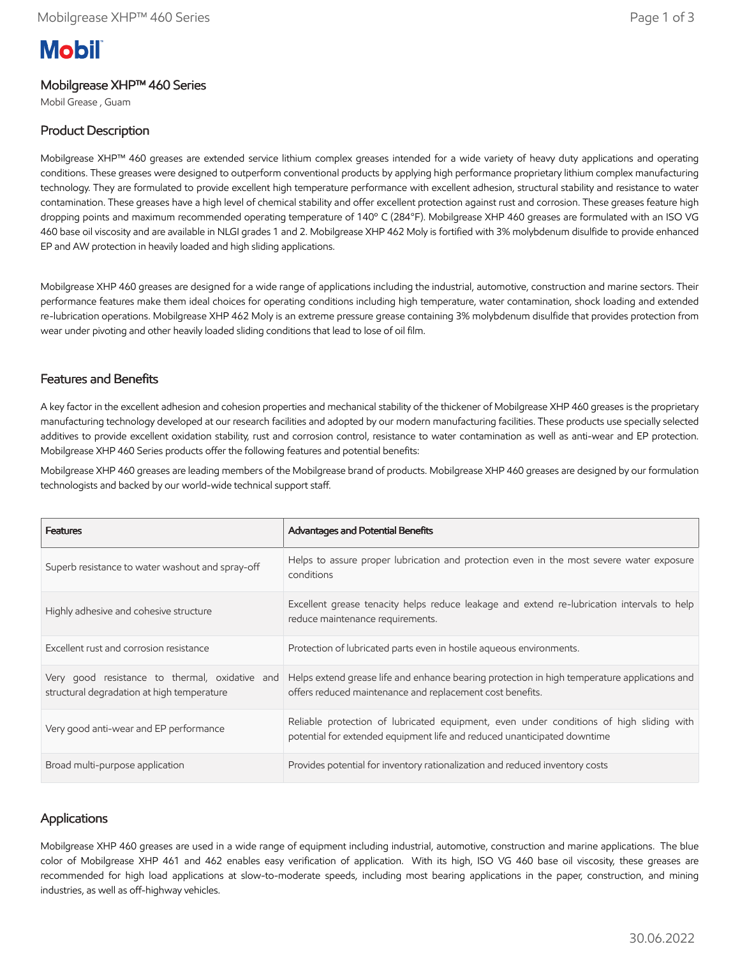# **Mobil**

## Mobilgrease XHP™ 460 Series

Mobil Grease , Guam

# Product Description

Mobilgrease XHP™ 460 greases are extended service lithium complex greases intended for a wide variety of heavy duty applications and operating conditions. These greases were designed to outperform conventional products by applying high performance proprietary lithium complex manufacturing technology. They are formulated to provide excellent high temperature performance with excellent adhesion, structural stability and resistance to water contamination. These greases have a high level of chemical stability and offer excellent protection against rust and corrosion. These greases feature high dropping points and maximum recommended operating temperature of 140º C (284°F). Mobilgrease XHP 460 greases are formulated with an ISO VG 460 base oil viscosity and are available in NLGI grades 1 and 2. Mobilgrease XHP 462 Moly is fortified with 3% molybdenum disulfide to provide enhanced EP and AW protection in heavily loaded and high sliding applications.

Mobilgrease XHP 460 greases are designed for a wide range of applications including the industrial, automotive, construction and marine sectors. Their performance features make them ideal choices for operating conditions including high temperature, water contamination, shock loading and extended re-lubrication operations. Mobilgrease XHP 462 Moly is an extreme pressure grease containing 3% molybdenum disulfide that provides protection from wear under pivoting and other heavily loaded sliding conditions that lead to lose of oil film.

#### Features and Benefits

A key factor in the excellent adhesion and cohesion properties and mechanical stability of the thickener of Mobilgrease XHP 460 greases is the proprietary manufacturing technology developed at our research facilities and adopted by our modern manufacturing facilities. These products use specially selected additives to provide excellent oxidation stability, rust and corrosion control, resistance to water contamination as well as anti-wear and EP protection. Mobilgrease XHP 460 Series products offer the following features and potential benefits:

Mobilgrease XHP 460 greases are leading members of the Mobilgrease brand of products. Mobilgrease XHP 460 greases are designed by our formulation technologists and backed by our world-wide technical support staff.

| <b>Features</b>                                                                              | <b>Advantages and Potential Benefits</b>                                                                                                                            |
|----------------------------------------------------------------------------------------------|---------------------------------------------------------------------------------------------------------------------------------------------------------------------|
| Superb resistance to water washout and spray-off                                             | Helps to assure proper lubrication and protection even in the most severe water exposure<br>conditions                                                              |
| Highly adhesive and cohesive structure                                                       | Excellent grease tenacity helps reduce leakage and extend re-lubrication intervals to help<br>reduce maintenance requirements.                                      |
| Excellent rust and corrosion resistance                                                      | Protection of lubricated parts even in hostile agueous environments.                                                                                                |
| Very good resistance to thermal, oxidative and<br>structural degradation at high temperature | Helps extend grease life and enhance bearing protection in high temperature applications and<br>offers reduced maintenance and replacement cost benefits.           |
| Very good anti-wear and EP performance                                                       | Reliable protection of lubricated equipment, even under conditions of high sliding with<br>potential for extended equipment life and reduced unanticipated downtime |
| Broad multi-purpose application                                                              | Provides potential for inventory rationalization and reduced inventory costs                                                                                        |

### Applications

Mobilgrease XHP 460 greases are used in a wide range of equipment including industrial, automotive, construction and marine applications. The blue color of Mobilgrease XHP 461 and 462 enables easy verification of application. With its high, ISO VG 460 base oil viscosity, these greases are recommended for high load applications at slow-to-moderate speeds, including most bearing applications in the paper, construction, and mining industries, as well as off-highway vehicles.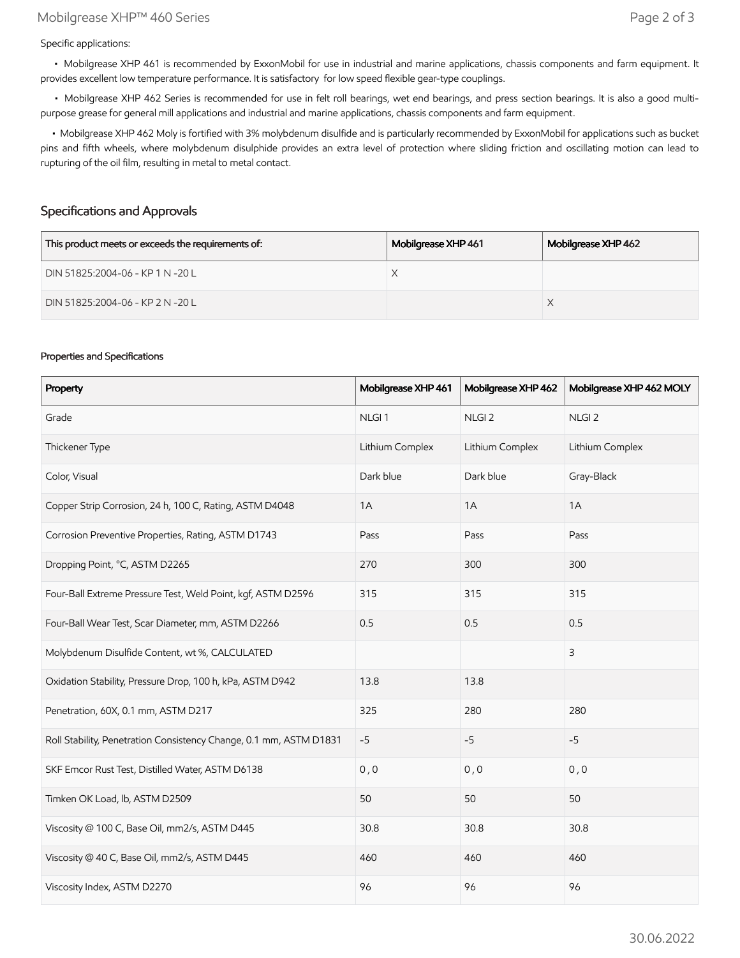Specific applications:

 • Mobilgrease XHP 461 is recommended by ExxonMobil for use in industrial and marine applications, chassis components and farm equipment. It provides excellent low temperature performance. It is satisfactory for low speed flexible gear-type couplings.

 • Mobilgrease XHP 462 Series is recommended for use in felt roll bearings, wet end bearings, and press section bearings. It is also a good multipurpose grease for general mill applications and industrial and marine applications, chassis components and farm equipment.

 • Mobilgrease XHP 462 Moly is fortified with 3% molybdenum disulfide and is particularly recommended by ExxonMobil for applications such as bucket pins and fifth wheels, where molybdenum disulphide provides an extra level of protection where sliding friction and oscillating motion can lead to rupturing of the oil film, resulting in metal to metal contact.

#### Specifications and Approvals

| This product meets or exceeds the requirements of: | Mobilgrease XHP 461 | Mobilgrease XHP 462 |
|----------------------------------------------------|---------------------|---------------------|
| DIN 51825:2004-06 - KP 1 N -20 L                   |                     |                     |
| DIN 51825:2004-06 - KP 2 N -20 L                   |                     |                     |

#### Properties and Specifications

| Property                                                           | Mobilgrease XHP 461 | Mobilgrease XHP 462 | Mobilgrease XHP 462 MOLY |
|--------------------------------------------------------------------|---------------------|---------------------|--------------------------|
| Grade                                                              | NLGI <sub>1</sub>   | NLGI <sub>2</sub>   | NLGI <sub>2</sub>        |
| Thickener Type                                                     | Lithium Complex     | Lithium Complex     | Lithium Complex          |
| Color, Visual                                                      | Dark blue           | Dark blue           | Gray-Black               |
| Copper Strip Corrosion, 24 h, 100 C, Rating, ASTM D4048            | 1A                  | 1A                  | 1A                       |
| Corrosion Preventive Properties, Rating, ASTM D1743                | Pass                | Pass                | Pass                     |
| Dropping Point, °C, ASTM D2265                                     | 270                 | 300                 | 300                      |
| Four-Ball Extreme Pressure Test, Weld Point, kgf, ASTM D2596       | 315                 | 315                 | 315                      |
| Four-Ball Wear Test, Scar Diameter, mm, ASTM D2266                 | 0.5                 | 0.5                 | 0.5                      |
| Molybdenum Disulfide Content, wt %, CALCULATED                     |                     |                     | $\mathsf{3}$             |
| Oxidation Stability, Pressure Drop, 100 h, kPa, ASTM D942          | 13.8                | 13.8                |                          |
| Penetration, 60X, 0.1 mm, ASTM D217                                | 325                 | 280                 | 280                      |
| Roll Stability, Penetration Consistency Change, 0.1 mm, ASTM D1831 | $-5$                | $-5$                | $-5$                     |
| SKF Emcor Rust Test, Distilled Water, ASTM D6138                   | 0, 0                | 0, 0                | 0, 0                     |
| Timken OK Load, lb, ASTM D2509                                     | 50                  | 50                  | 50                       |
| Viscosity @ 100 C, Base Oil, mm2/s, ASTM D445                      | 30.8                | 30.8                | 30.8                     |
| Viscosity @ 40 C, Base Oil, mm2/s, ASTM D445                       | 460                 | 460                 | 460                      |
| Viscosity Index, ASTM D2270                                        | 96                  | 96                  | 96                       |